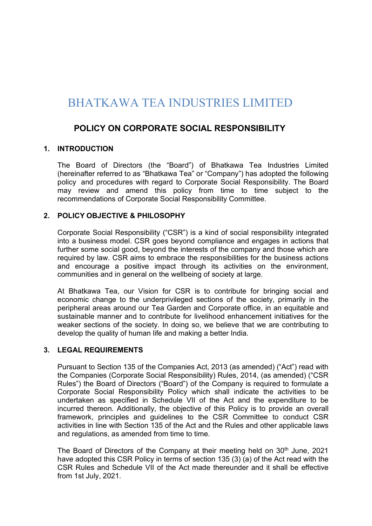# BHATKAWA TEA INDUSTRIES LIMITED

# POLICY ON CORPORATE SOCIAL RESPONSIBILITY

# 1. INTRODUCTION

The Board of Directors (the "Board") of Bhatkawa Tea Industries Limited (hereinafter referred to as "Bhatkawa Tea" or "Company") has adopted the following policy and procedures with regard to Corporate Social Responsibility. The Board may review and amend this policy from time to time subject to the recommendations of Corporate Social Responsibility Committee.

## 2. POLICY OBJECTIVE & PHILOSOPHY

Corporate Social Responsibility ("CSR") is a kind of social responsibility integrated into a business model. CSR goes beyond compliance and engages in actions that further some social good, beyond the interests of the company and those which are required by law. CSR aims to embrace the responsibilities for the business actions and encourage a positive impact through its activities on the environment, communities and in general on the wellbeing of society at large.

At Bhatkawa Tea, our Vision for CSR is to contribute for bringing social and economic change to the underprivileged sections of the society, primarily in the peripheral areas around our Tea Garden and Corporate office, in an equitable and sustainable manner and to contribute for livelihood enhancement initiatives for the weaker sections of the society. In doing so, we believe that we are contributing to develop the quality of human life and making a better India.

#### 3. LEGAL REQUIREMENTS

Pursuant to Section 135 of the Companies Act, 2013 (as amended) ("Act") read with the Companies (Corporate Social Responsibility) Rules, 2014, (as amended) ("CSR Rules") the Board of Directors ("Board") of the Company is required to formulate a Corporate Social Responsibility Policy which shall indicate the activities to be undertaken as specified in Schedule VII of the Act and the expenditure to be incurred thereon. Additionally, the objective of this Policy is to provide an overall framework, principles and guidelines to the CSR Committee to conduct CSR activities in line with Section 135 of the Act and the Rules and other applicable laws and regulations, as amended from time to time.

The Board of Directors of the Company at their meeting held on 30<sup>th</sup> June, 2021 have adopted this CSR Policy in terms of section 135 (3) (a) of the Act read with the CSR Rules and Schedule VII of the Act made thereunder and it shall be effective from 1st July, 2021.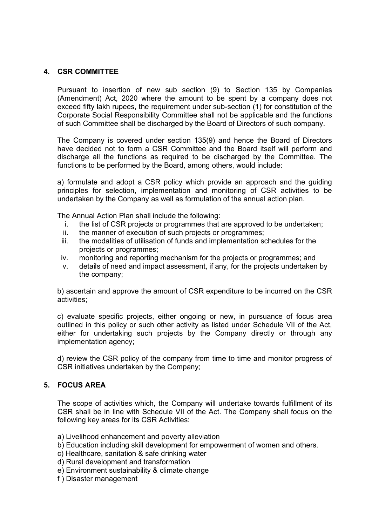# 4. CSR COMMITTEE

 Pursuant to insertion of new sub section (9) to Section 135 by Companies (Amendment) Act, 2020 where the amount to be spent by a company does not exceed fifty lakh rupees, the requirement under sub-section (1) for constitution of the Corporate Social Responsibility Committee shall not be applicable and the functions of such Committee shall be discharged by the Board of Directors of such company.

 The Company is covered under section 135(9) and hence the Board of Directors have decided not to form a CSR Committee and the Board itself will perform and discharge all the functions as required to be discharged by the Committee. The functions to be performed by the Board, among others, would include:

 a) formulate and adopt a CSR policy which provide an approach and the guiding principles for selection, implementation and monitoring of CSR activities to be undertaken by the Company as well as formulation of the annual action plan.

The Annual Action Plan shall include the following:

- i. the list of CSR projects or programmes that are approved to be undertaken;
- ii. the manner of execution of such projects or programmes;
- iii. the modalities of utilisation of funds and implementation schedules for the projects or programmes;
- iv. monitoring and reporting mechanism for the projects or programmes; and
- v. details of need and impact assessment, if any, for the projects undertaken by the company;

 b) ascertain and approve the amount of CSR expenditure to be incurred on the CSR activities;

 c) evaluate specific projects, either ongoing or new, in pursuance of focus area outlined in this policy or such other activity as listed under Schedule VII of the Act, either for undertaking such projects by the Company directly or through any implementation agency;

 d) review the CSR policy of the company from time to time and monitor progress of CSR initiatives undertaken by the Company;

# 5. FOCUS AREA

The scope of activities which, the Company will undertake towards fulfillment of its CSR shall be in line with Schedule VII of the Act. The Company shall focus on the following key areas for its CSR Activities:

- a) Livelihood enhancement and poverty alleviation
- b) Education including skill development for empowerment of women and others.
- c) Healthcare, sanitation & safe drinking water
- d) Rural development and transformation
- e) Environment sustainability & climate change
- f ) Disaster management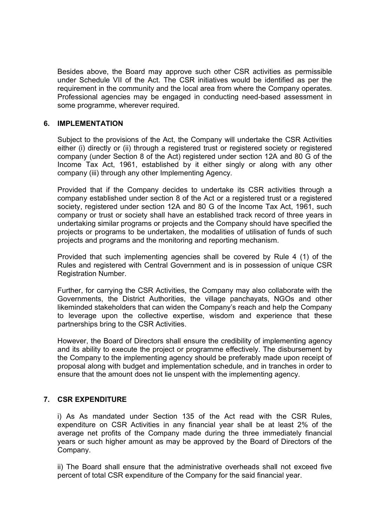Besides above, the Board may approve such other CSR activities as permissible under Schedule VII of the Act. The CSR initiatives would be identified as per the requirement in the community and the local area from where the Company operates. Professional agencies may be engaged in conducting need-based assessment in some programme, wherever required.

## 6. IMPLEMENTATION

Subject to the provisions of the Act, the Company will undertake the CSR Activities either (i) directly or (ii) through a registered trust or registered society or registered company (under Section 8 of the Act) registered under section 12A and 80 G of the Income Tax Act, 1961, established by it either singly or along with any other company (iii) through any other Implementing Agency.

Provided that if the Company decides to undertake its CSR activities through a company established under section 8 of the Act or a registered trust or a registered society, registered under section 12A and 80 G of the Income Tax Act, 1961, such company or trust or society shall have an established track record of three years in undertaking similar programs or projects and the Company should have specified the projects or programs to be undertaken, the modalities of utilisation of funds of such projects and programs and the monitoring and reporting mechanism.

Provided that such implementing agencies shall be covered by Rule 4 (1) of the Rules and registered with Central Government and is in possession of unique CSR Registration Number.

Further, for carrying the CSR Activities, the Company may also collaborate with the Governments, the District Authorities, the village panchayats, NGOs and other likeminded stakeholders that can widen the Company's reach and help the Company to leverage upon the collective expertise, wisdom and experience that these partnerships bring to the CSR Activities.

However, the Board of Directors shall ensure the credibility of implementing agency and its ability to execute the project or programme effectively. The disbursement by the Company to the implementing agency should be preferably made upon receipt of proposal along with budget and implementation schedule, and in tranches in order to ensure that the amount does not lie unspent with the implementing agency.

# 7. CSR EXPENDITURE

i) As As mandated under Section 135 of the Act read with the CSR Rules, expenditure on CSR Activities in any financial year shall be at least 2% of the average net profits of the Company made during the three immediately financial years or such higher amount as may be approved by the Board of Directors of the Company.

ii) The Board shall ensure that the administrative overheads shall not exceed five percent of total CSR expenditure of the Company for the said financial year.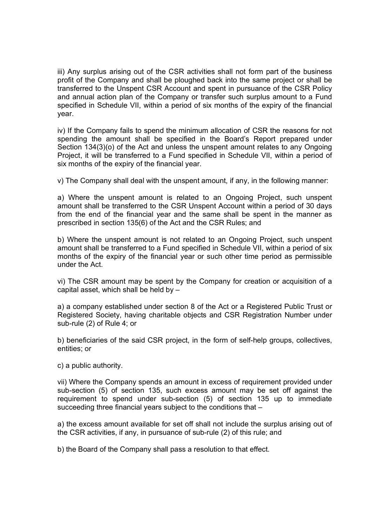iii) Any surplus arising out of the CSR activities shall not form part of the business profit of the Company and shall be ploughed back into the same project or shall be transferred to the Unspent CSR Account and spent in pursuance of the CSR Policy and annual action plan of the Company or transfer such surplus amount to a Fund specified in Schedule VII, within a period of six months of the expiry of the financial year.

iv) If the Company fails to spend the minimum allocation of CSR the reasons for not spending the amount shall be specified in the Board's Report prepared under Section 134(3)(o) of the Act and unless the unspent amount relates to any Ongoing Project, it will be transferred to a Fund specified in Schedule VII, within a period of six months of the expiry of the financial year.

v) The Company shall deal with the unspent amount, if any, in the following manner:

a) Where the unspent amount is related to an Ongoing Project, such unspent amount shall be transferred to the CSR Unspent Account within a period of 30 days from the end of the financial year and the same shall be spent in the manner as prescribed in section 135(6) of the Act and the CSR Rules; and

b) Where the unspent amount is not related to an Ongoing Project, such unspent amount shall be transferred to a Fund specified in Schedule VII, within a period of six months of the expiry of the financial year or such other time period as permissible under the Act.

vi) The CSR amount may be spent by the Company for creation or acquisition of a capital asset, which shall be held by –

a) a company established under section 8 of the Act or a Registered Public Trust or Registered Society, having charitable objects and CSR Registration Number under sub-rule (2) of Rule 4; or

b) beneficiaries of the said CSR project, in the form of self-help groups, collectives, entities; or

c) a public authority.

vii) Where the Company spends an amount in excess of requirement provided under sub-section (5) of section 135, such excess amount may be set off against the requirement to spend under sub-section (5) of section 135 up to immediate succeeding three financial years subject to the conditions that –

a) the excess amount available for set off shall not include the surplus arising out of the CSR activities, if any, in pursuance of sub-rule (2) of this rule; and

b) the Board of the Company shall pass a resolution to that effect.